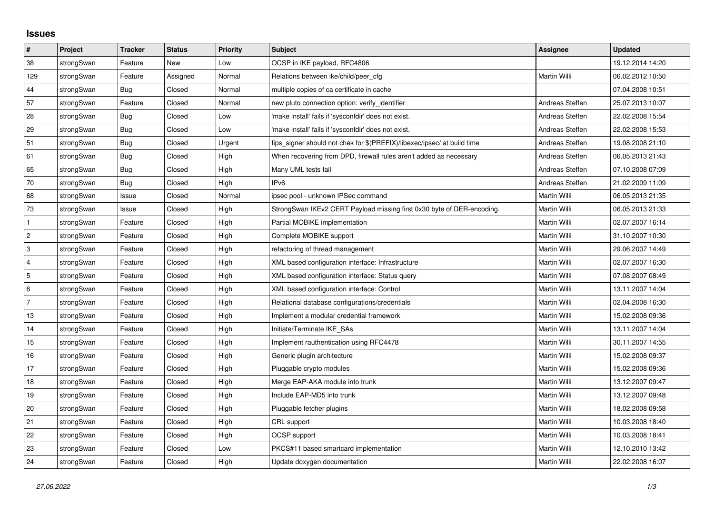## **Issues**

| $\pmb{\#}$       | Project    | <b>Tracker</b> | <b>Status</b> | <b>Priority</b> | <b>Subject</b>                                                          | <b>Assignee</b> | <b>Updated</b>   |
|------------------|------------|----------------|---------------|-----------------|-------------------------------------------------------------------------|-----------------|------------------|
| 38               | strongSwan | Feature        | New           | Low             | OCSP in IKE payload, RFC4806                                            |                 | 19.12.2014 14:20 |
| 129              | strongSwan | Feature        | Assigned      | Normal          | Relations between ike/child/peer cfg                                    | Martin Willi    | 06.02.2012 10:50 |
| 44               | strongSwan | Bug            | Closed        | Normal          | multiple copies of ca certificate in cache                              |                 | 07.04.2008 10:51 |
| 57               | strongSwan | Feature        | Closed        | Normal          | new pluto connection option: verify identifier                          | Andreas Steffen | 25.07.2013 10:07 |
| 28               | strongSwan | Bug            | Closed        | Low             | 'make install' fails if 'sysconfdir' does not exist.                    | Andreas Steffen | 22.02.2008 15:54 |
| 29               | strongSwan | Bug            | Closed        | Low             | 'make install' fails if 'sysconfdir' does not exist.                    | Andreas Steffen | 22.02.2008 15:53 |
| 51               | strongSwan | Bug            | Closed        | Urgent          | fips_signer should not chek for \$(PREFIX)/libexec/ipsec/ at build time | Andreas Steffen | 19.08.2008 21:10 |
| 61               | strongSwan | Bug            | Closed        | High            | When recovering from DPD, firewall rules aren't added as necessary      | Andreas Steffen | 06.05.2013 21:43 |
| 65               | strongSwan | Bug            | Closed        | High            | Many UML tests fail                                                     | Andreas Steffen | 07.10.2008 07:09 |
| $70\,$           | strongSwan | Bug            | Closed        | High            | IPv <sub>6</sub>                                                        | Andreas Steffen | 21.02.2009 11:09 |
| 68               | strongSwan | Issue          | Closed        | Normal          | ipsec pool - unknown IPSec command                                      | Martin Willi    | 06.05.2013 21:35 |
| 73               | strongSwan | Issue          | Closed        | High            | StrongSwan IKEv2 CERT Payload missing first 0x30 byte of DER-encoding.  | Martin Willi    | 06.05.2013 21:33 |
| $\mathbf{1}$     | strongSwan | Feature        | Closed        | High            | Partial MOBIKE implementation                                           | Martin Willi    | 02.07.2007 16:14 |
| $\boldsymbol{2}$ | strongSwan | Feature        | Closed        | High            | Complete MOBIKE support                                                 | Martin Willi    | 31.10.2007 10:30 |
| 3                | strongSwan | Feature        | Closed        | High            | refactoring of thread management                                        | Martin Willi    | 29.06.2007 14:49 |
| $\overline{4}$   | strongSwan | Feature        | Closed        | High            | XML based configuration interface: Infrastructure                       | Martin Willi    | 02.07.2007 16:30 |
| $\overline{5}$   | strongSwan | Feature        | Closed        | High            | XML based configuration interface: Status query                         | Martin Willi    | 07.08.2007 08:49 |
| 6                | strongSwan | Feature        | Closed        | High            | XML based configuration interface: Control                              | Martin Willi    | 13.11.2007 14:04 |
| $\overline{7}$   | strongSwan | Feature        | Closed        | High            | Relational database configurations/credentials                          | Martin Willi    | 02.04.2008 16:30 |
| 13               | strongSwan | Feature        | Closed        | High            | Implement a modular credential framework                                | Martin Willi    | 15.02.2008 09:36 |
| 14               | strongSwan | Feature        | Closed        | High            | Initiate/Terminate IKE SAs                                              | Martin Willi    | 13.11.2007 14:04 |
| 15               | strongSwan | Feature        | Closed        | High            | Implement rauthentication using RFC4478                                 | Martin Willi    | 30.11.2007 14:55 |
| 16               | strongSwan | Feature        | Closed        | High            | Generic plugin architecture                                             | Martin Willi    | 15.02.2008 09:37 |
| 17               | strongSwan | Feature        | Closed        | High            | Pluggable crypto modules                                                | Martin Willi    | 15.02.2008 09:36 |
| 18               | strongSwan | Feature        | Closed        | High            | Merge EAP-AKA module into trunk                                         | Martin Willi    | 13.12.2007 09:47 |
| 19               | strongSwan | Feature        | Closed        | High            | Include EAP-MD5 into trunk                                              | Martin Willi    | 13.12.2007 09:48 |
| $20\,$           | strongSwan | Feature        | Closed        | High            | Pluggable fetcher plugins                                               | Martin Willi    | 18.02.2008 09:58 |
| 21               | strongSwan | Feature        | Closed        | High            | CRL support                                                             | Martin Willi    | 10.03.2008 18:40 |
| 22               | strongSwan | Feature        | Closed        | High            | OCSP support                                                            | Martin Willi    | 10.03.2008 18:41 |
| 23               | strongSwan | Feature        | Closed        | Low             | PKCS#11 based smartcard implementation                                  | Martin Willi    | 12.10.2010 13:42 |
| 24               | strongSwan | Feature        | Closed        | High            | Update doxygen documentation                                            | Martin Willi    | 22.02.2008 16:07 |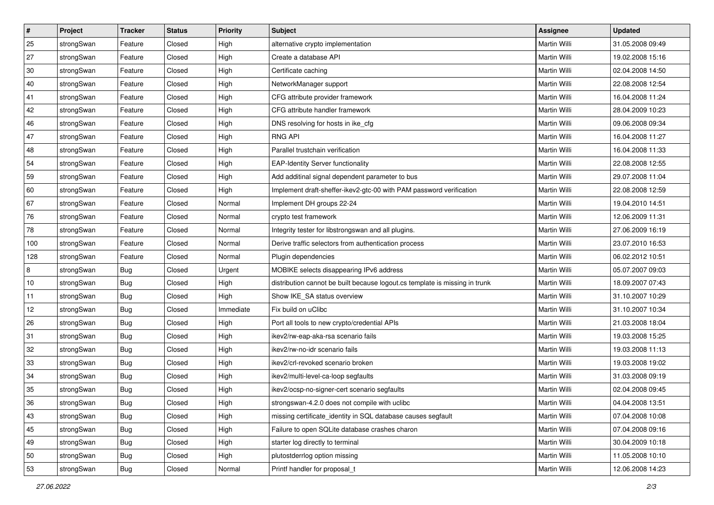| $\vert$ # | Project    | <b>Tracker</b> | <b>Status</b> | <b>Priority</b> | <b>Subject</b>                                                              | <b>Assignee</b>     | <b>Updated</b>   |
|-----------|------------|----------------|---------------|-----------------|-----------------------------------------------------------------------------|---------------------|------------------|
| 25        | strongSwan | Feature        | Closed        | High            | alternative crypto implementation                                           | Martin Willi        | 31.05.2008 09:49 |
| 27        | strongSwan | Feature        | Closed        | High            | Create a database API                                                       | <b>Martin Willi</b> | 19.02.2008 15:16 |
| 30        | strongSwan | Feature        | Closed        | High            | Certificate caching                                                         | Martin Willi        | 02.04.2008 14:50 |
| 40        | strongSwan | Feature        | Closed        | High            | NetworkManager support                                                      | Martin Willi        | 22.08.2008 12:54 |
| 41        | strongSwan | Feature        | Closed        | High            | CFG attribute provider framework                                            | Martin Willi        | 16.04.2008 11:24 |
| 42        | strongSwan | Feature        | Closed        | High            | CFG attribute handler framework                                             | <b>Martin Willi</b> | 28.04.2009 10:23 |
| 46        | strongSwan | Feature        | Closed        | High            | DNS resolving for hosts in ike_cfg                                          | Martin Willi        | 09.06.2008 09:34 |
| 47        | strongSwan | Feature        | Closed        | High            | <b>RNG API</b>                                                              | Martin Willi        | 16.04.2008 11:27 |
| 48        | strongSwan | Feature        | Closed        | High            | Parallel trustchain verification                                            | Martin Willi        | 16.04.2008 11:33 |
| 54        | strongSwan | Feature        | Closed        | High            | <b>EAP-Identity Server functionality</b>                                    | Martin Willi        | 22.08.2008 12:55 |
| 59        | strongSwan | Feature        | Closed        | High            | Add additinal signal dependent parameter to bus                             | Martin Willi        | 29.07.2008 11:04 |
| 60        | strongSwan | Feature        | Closed        | High            | Implement draft-sheffer-ikev2-gtc-00 with PAM password verification         | Martin Willi        | 22.08.2008 12:59 |
| 67        | strongSwan | Feature        | Closed        | Normal          | Implement DH groups 22-24                                                   | Martin Willi        | 19.04.2010 14:51 |
| 76        | strongSwan | Feature        | Closed        | Normal          | crypto test framework                                                       | Martin Willi        | 12.06.2009 11:31 |
| 78        | strongSwan | Feature        | Closed        | Normal          | Integrity tester for libstrongswan and all plugins.                         | <b>Martin Willi</b> | 27.06.2009 16:19 |
| 100       | strongSwan | Feature        | Closed        | Normal          | Derive traffic selectors from authentication process                        | Martin Willi        | 23.07.2010 16:53 |
| 128       | strongSwan | Feature        | Closed        | Normal          | Plugin dependencies                                                         | <b>Martin Willi</b> | 06.02.2012 10:51 |
| 8         | strongSwan | Bug            | Closed        | Urgent          | MOBIKE selects disappearing IPv6 address                                    | Martin Willi        | 05.07.2007 09:03 |
| 10        | strongSwan | <b>Bug</b>     | Closed        | High            | distribution cannot be built because logout.cs template is missing in trunk | Martin Willi        | 18.09.2007 07:43 |
| 11        | strongSwan | <b>Bug</b>     | Closed        | High            | Show IKE_SA status overview                                                 | Martin Willi        | 31.10.2007 10:29 |
| 12        | strongSwan | <b>Bug</b>     | Closed        | Immediate       | Fix build on uClibc                                                         | Martin Willi        | 31.10.2007 10:34 |
| 26        | strongSwan | <b>Bug</b>     | Closed        | High            | Port all tools to new crypto/credential APIs                                | Martin Willi        | 21.03.2008 18:04 |
| 31        | strongSwan | Bug            | Closed        | High            | ikev2/rw-eap-aka-rsa scenario fails                                         | Martin Willi        | 19.03.2008 15:25 |
| 32        | strongSwan | Bug            | Closed        | High            | ikev2/rw-no-idr scenario fails                                              | Martin Willi        | 19.03.2008 11:13 |
| 33        | strongSwan | <b>Bug</b>     | Closed        | High            | ikev2/crl-revoked scenario broken                                           | Martin Willi        | 19.03.2008 19:02 |
| 34        | strongSwan | Bug            | Closed        | High            | ikev2/multi-level-ca-loop segfaults                                         | Martin Willi        | 31.03.2008 09:19 |
| 35        | strongSwan | Bug            | Closed        | High            | ikev2/ocsp-no-signer-cert scenario segfaults                                | Martin Willi        | 02.04.2008 09:45 |
| 36        | strongSwan | Bug            | Closed        | High            | strongswan-4.2.0 does not compile with uclibc                               | Martin Willi        | 04.04.2008 13:51 |
| 43        | strongSwan | Bug            | Closed        | High            | missing certificate identity in SQL database causes segfault                | Martin Willi        | 07.04.2008 10:08 |
| 45        | strongSwan | <b>Bug</b>     | Closed        | High            | Failure to open SQLite database crashes charon                              | Martin Willi        | 07.04.2008 09:16 |
| 49        | strongSwan | <b>Bug</b>     | Closed        | High            | starter log directly to terminal                                            | Martin Willi        | 30.04.2009 10:18 |
| 50        | strongSwan | Bug            | Closed        | High            | plutostderrlog option missing                                               | Martin Willi        | 11.05.2008 10:10 |
| 53        | strongSwan | Bug            | Closed        | Normal          | Printf handler for proposal_t                                               | Martin Willi        | 12.06.2008 14:23 |